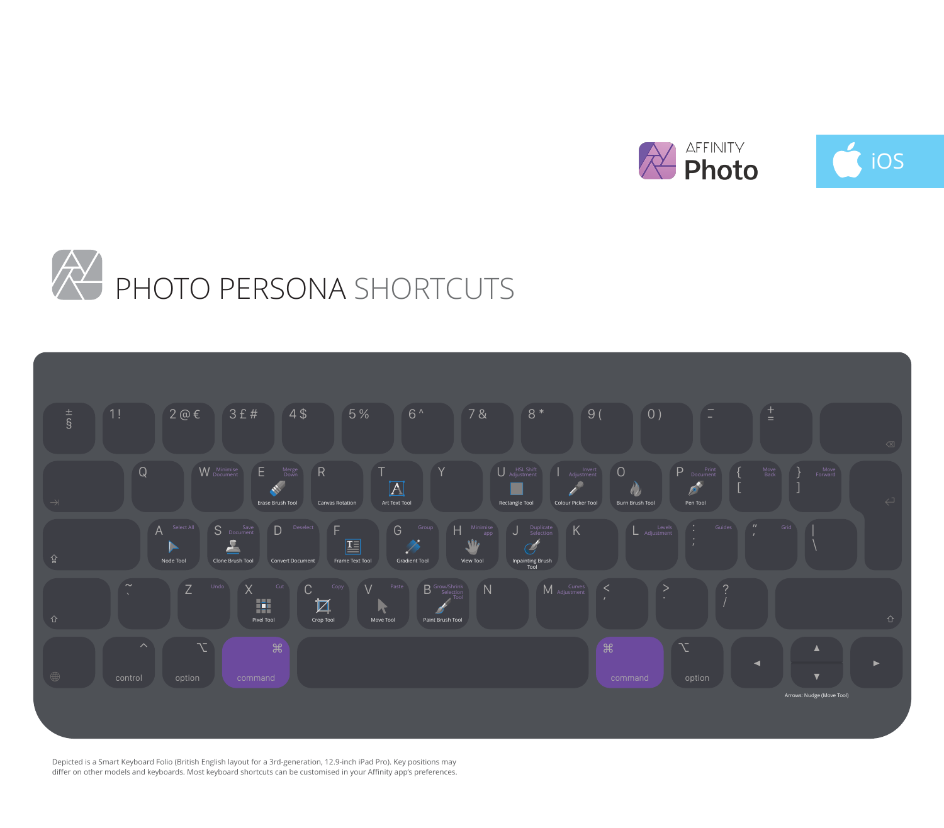





Depicted is a Smart Keyboard Folio (British English layout for a 3rd-generation, 12.9-inch iPad Pro). Key positions may differ on other models and keyboards. Most keyboard shortcuts can be customised in your Affinity app's preferences.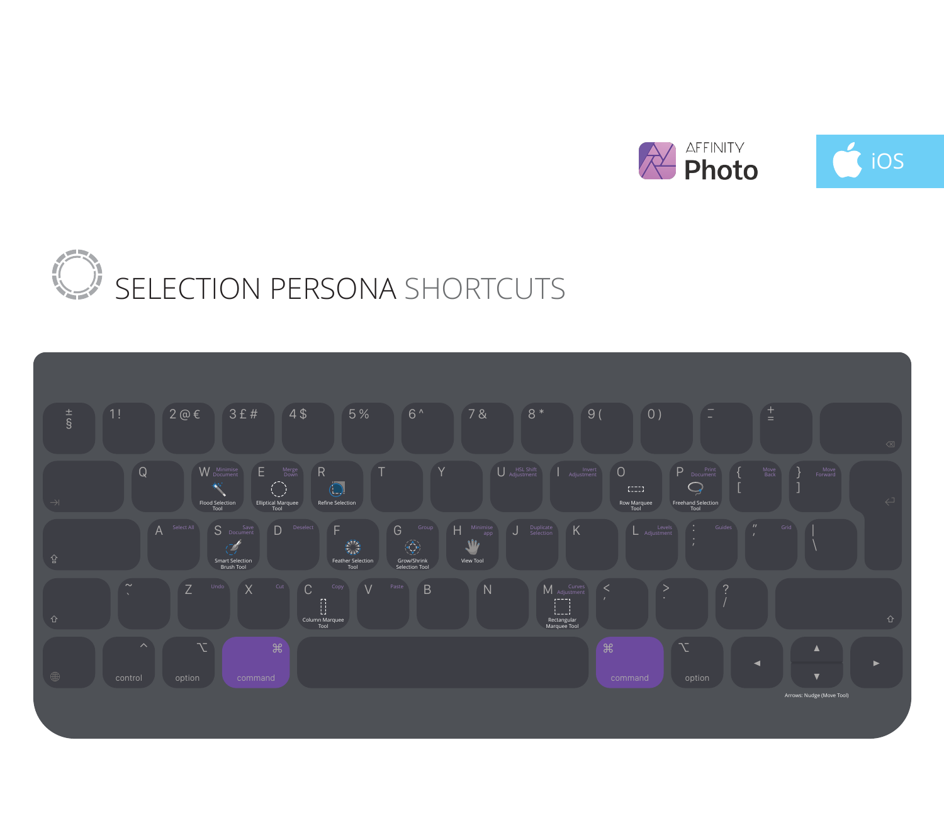

## SELECTION PERSONA SHORTCUTS

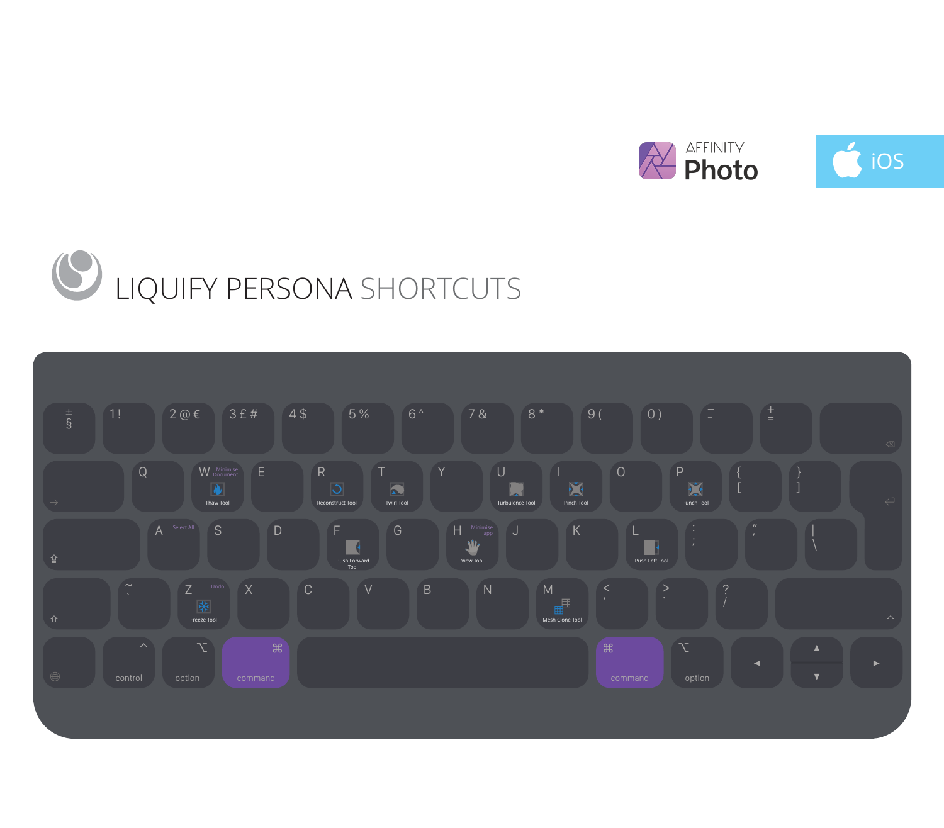

## LIQUIFY PERSONA SHORTCUTS

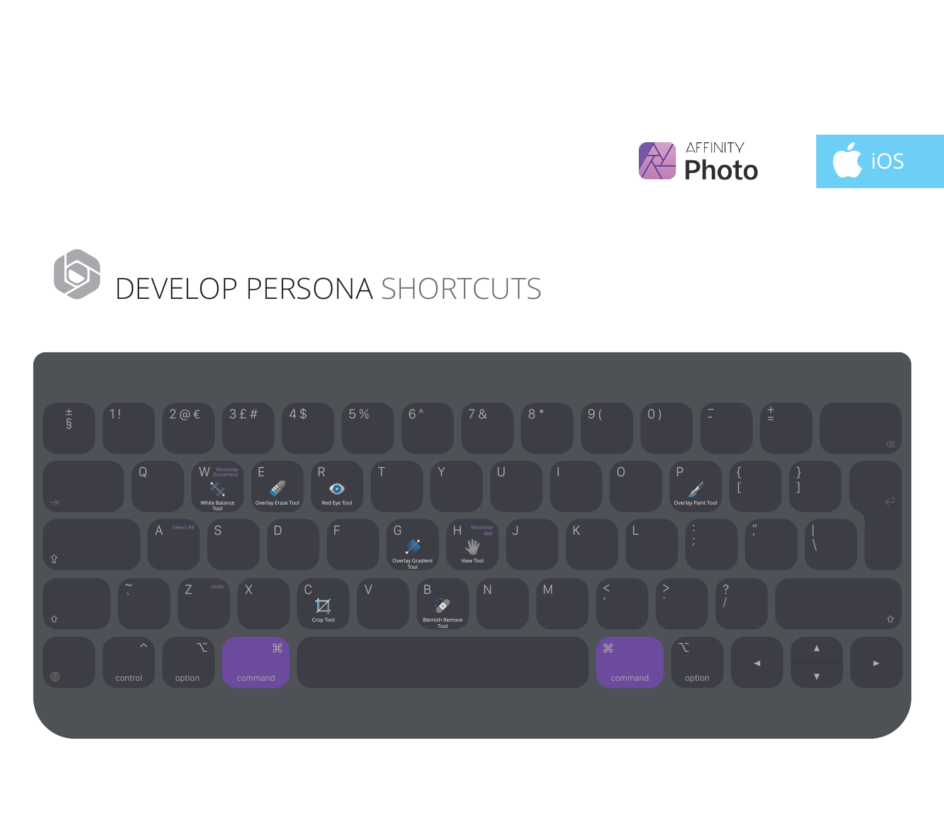



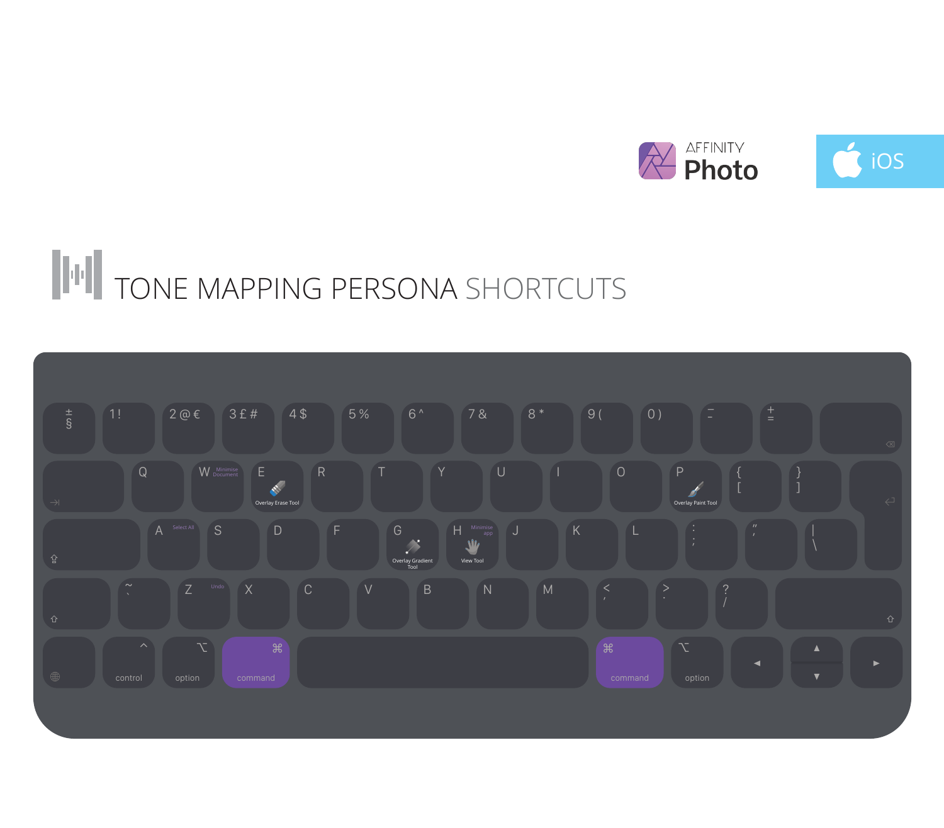

## TONE MAPPING PERSONA SHORTCUTS